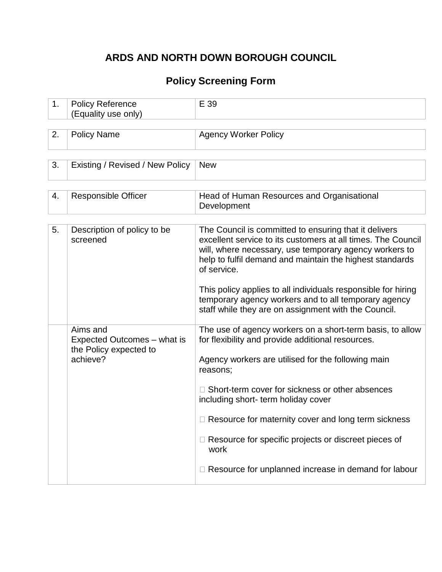## **ARDS AND NORTH DOWN BOROUGH COUNCIL**

# **Policy Screening Form**

| 1. | <b>Policy Reference</b><br>(Equality use only)                                | E 39                                                                                                                                                                                                                                                                                                                                                                                                                                                                   |
|----|-------------------------------------------------------------------------------|------------------------------------------------------------------------------------------------------------------------------------------------------------------------------------------------------------------------------------------------------------------------------------------------------------------------------------------------------------------------------------------------------------------------------------------------------------------------|
| 2. | <b>Policy Name</b>                                                            | <b>Agency Worker Policy</b>                                                                                                                                                                                                                                                                                                                                                                                                                                            |
| 3. | Existing / Revised / New Policy                                               | <b>New</b>                                                                                                                                                                                                                                                                                                                                                                                                                                                             |
| 4. | <b>Responsible Officer</b>                                                    | Head of Human Resources and Organisational<br>Development                                                                                                                                                                                                                                                                                                                                                                                                              |
| 5. | Description of policy to be<br>screened                                       | The Council is committed to ensuring that it delivers<br>excellent service to its customers at all times. The Council<br>will, where necessary, use temporary agency workers to<br>help to fulfil demand and maintain the highest standards<br>of service.<br>This policy applies to all individuals responsible for hiring<br>temporary agency workers and to all temporary agency<br>staff while they are on assignment with the Council.                            |
|    | Aims and<br>Expected Outcomes – what is<br>the Policy expected to<br>achieve? | The use of agency workers on a short-term basis, to allow<br>for flexibility and provide additional resources.<br>Agency workers are utilised for the following main<br>reasons;<br>□ Short-term cover for sickness or other absences<br>including short- term holiday cover<br>□ Resource for maternity cover and long term sickness<br>$\Box$ Resource for specific projects or discreet pieces of<br>work<br>□ Resource for unplanned increase in demand for labour |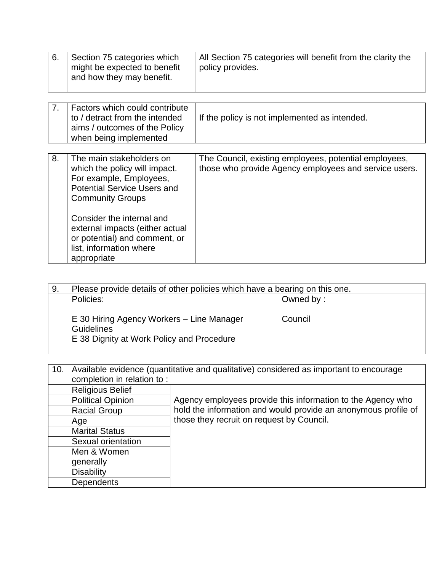| 6. | Section 75 categories which<br>might be expected to benefit<br>and how they may benefit.                                                                                                                                                                                                         | All Section 75 categories will benefit from the clarity the<br>policy provides.                                |
|----|--------------------------------------------------------------------------------------------------------------------------------------------------------------------------------------------------------------------------------------------------------------------------------------------------|----------------------------------------------------------------------------------------------------------------|
| 7. | Factors which could contribute<br>to / detract from the intended<br>aims / outcomes of the Policy<br>when being implemented                                                                                                                                                                      | If the policy is not implemented as intended.                                                                  |
| 8. | The main stakeholders on<br>which the policy will impact.<br>For example, Employees,<br><b>Potential Service Users and</b><br><b>Community Groups</b><br>Consider the internal and<br>external impacts (either actual<br>or potential) and comment, or<br>list, information where<br>appropriate | The Council, existing employees, potential employees,<br>those who provide Agency employees and service users. |

| 9. | Please provide details of other policies which have a bearing on this one.                                  |           |
|----|-------------------------------------------------------------------------------------------------------------|-----------|
|    | Policies:                                                                                                   | Owned by: |
|    | E 30 Hiring Agency Workers - Line Manager<br><b>Guidelines</b><br>E 38 Dignity at Work Policy and Procedure | Council   |

| 10. | Available evidence (quantitative and qualitative) considered as important to encourage |                                                                |  |
|-----|----------------------------------------------------------------------------------------|----------------------------------------------------------------|--|
|     | completion in relation to:                                                             |                                                                |  |
|     | <b>Religious Belief</b>                                                                |                                                                |  |
|     | <b>Political Opinion</b>                                                               | Agency employees provide this information to the Agency who    |  |
|     | <b>Racial Group</b>                                                                    | hold the information and would provide an anonymous profile of |  |
|     | Age                                                                                    | those they recruit on request by Council.                      |  |
|     | <b>Marital Status</b>                                                                  |                                                                |  |
|     | Sexual orientation                                                                     |                                                                |  |
|     | Men & Women                                                                            |                                                                |  |
|     | generally                                                                              |                                                                |  |
|     | <b>Disability</b>                                                                      |                                                                |  |
|     | <b>Dependents</b>                                                                      |                                                                |  |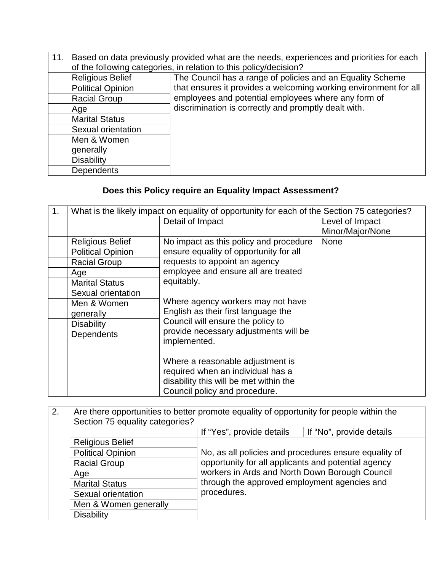| 11. |                          | Based on data previously provided what are the needs, experiences and priorities for each<br>of the following categories, in relation to this policy/decision? |
|-----|--------------------------|----------------------------------------------------------------------------------------------------------------------------------------------------------------|
|     | <b>Religious Belief</b>  | The Council has a range of policies and an Equality Scheme                                                                                                     |
|     | <b>Political Opinion</b> | that ensures it provides a welcoming working environment for all                                                                                               |
|     | <b>Racial Group</b>      | employees and potential employees where any form of                                                                                                            |
|     | Age                      | discrimination is correctly and promptly dealt with.                                                                                                           |
|     | <b>Marital Status</b>    |                                                                                                                                                                |
|     | Sexual orientation       |                                                                                                                                                                |
|     | Men & Women              |                                                                                                                                                                |
|     | generally                |                                                                                                                                                                |
|     | <b>Disability</b>        |                                                                                                                                                                |
|     | <b>Dependents</b>        |                                                                                                                                                                |

# **Does this Policy require an Equality Impact Assessment?**

| 1 <sub>1</sub> | What is the likely impact on equality of opportunity for each of the Section 75 categories? |                                        |                  |
|----------------|---------------------------------------------------------------------------------------------|----------------------------------------|------------------|
|                |                                                                                             | Detail of Impact                       | Level of Impact  |
|                |                                                                                             |                                        | Minor/Major/None |
|                | <b>Religious Belief</b>                                                                     | No impact as this policy and procedure | <b>None</b>      |
|                | <b>Political Opinion</b>                                                                    | ensure equality of opportunity for all |                  |
|                | <b>Racial Group</b>                                                                         | requests to appoint an agency          |                  |
|                | Age                                                                                         | employee and ensure all are treated    |                  |
|                | <b>Marital Status</b>                                                                       | equitably.                             |                  |
|                | Sexual orientation                                                                          |                                        |                  |
|                | Men & Women                                                                                 | Where agency workers may not have      |                  |
|                | generally                                                                                   | English as their first language the    |                  |
|                | <b>Disability</b>                                                                           | Council will ensure the policy to      |                  |
|                | <b>Dependents</b>                                                                           | provide necessary adjustments will be  |                  |
|                |                                                                                             | implemented.                           |                  |
|                |                                                                                             | Where a reasonable adjustment is       |                  |
|                |                                                                                             | required when an individual has a      |                  |
|                |                                                                                             | disability this will be met within the |                  |
|                |                                                                                             | Council policy and procedure.          |                  |
|                |                                                                                             |                                        |                  |

| 2.  | Are there opportunities to better promote equality of opportunity for people within the |                                                       |                          |  |
|-----|-----------------------------------------------------------------------------------------|-------------------------------------------------------|--------------------------|--|
|     | Section 75 equality categories?                                                         |                                                       |                          |  |
|     |                                                                                         | If "Yes", provide details                             | If "No", provide details |  |
|     | <b>Religious Belief</b>                                                                 |                                                       |                          |  |
|     | <b>Political Opinion</b>                                                                | No, as all policies and procedures ensure equality of |                          |  |
|     | <b>Racial Group</b>                                                                     | opportunity for all applicants and potential agency   |                          |  |
| Age | workers in Ards and North Down Borough Council                                          |                                                       |                          |  |
|     | <b>Marital Status</b>                                                                   | through the approved employment agencies and          |                          |  |
|     | Sexual orientation                                                                      | procedures.                                           |                          |  |
|     | Men & Women generally                                                                   |                                                       |                          |  |
|     | <b>Disability</b>                                                                       |                                                       |                          |  |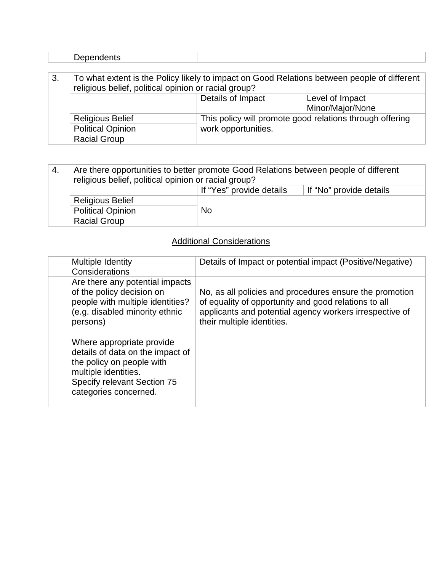|    | <b>Dependents</b>                                                                                                                                   |                     |                                                          |
|----|-----------------------------------------------------------------------------------------------------------------------------------------------------|---------------------|----------------------------------------------------------|
|    |                                                                                                                                                     |                     |                                                          |
| 3. | To what extent is the Policy likely to impact on Good Relations between people of different<br>religious belief, political opinion or racial group? |                     |                                                          |
|    |                                                                                                                                                     | Details of Impact   | Level of Impact<br>Minor/Major/None                      |
|    | <b>Religious Belief</b>                                                                                                                             |                     | This policy will promote good relations through offering |
|    | <b>Political Opinion</b>                                                                                                                            | work opportunities. |                                                          |
|    | <b>Racial Group</b>                                                                                                                                 |                     |                                                          |

| -4. | Are there opportunities to better promote Good Relations between people of different<br>religious belief, political opinion or racial group? |           |  |
|-----|----------------------------------------------------------------------------------------------------------------------------------------------|-----------|--|
|     | If "Yes" provide details<br>If "No" provide details                                                                                          |           |  |
|     | <b>Religious Belief</b>                                                                                                                      |           |  |
|     | <b>Political Opinion</b>                                                                                                                     | <b>No</b> |  |
|     | <b>Racial Group</b>                                                                                                                          |           |  |

## **Additional Considerations**

| <b>Multiple Identity</b><br>Considerations                                                                                                                                 | Details of Impact or potential impact (Positive/Negative)                                                                                                                                                |
|----------------------------------------------------------------------------------------------------------------------------------------------------------------------------|----------------------------------------------------------------------------------------------------------------------------------------------------------------------------------------------------------|
| Are there any potential impacts<br>of the policy decision on<br>people with multiple identities?<br>(e.g. disabled minority ethnic<br>persons)                             | No, as all policies and procedures ensure the promotion<br>of equality of opportunity and good relations to all<br>applicants and potential agency workers irrespective of<br>their multiple identities. |
| Where appropriate provide<br>details of data on the impact of<br>the policy on people with<br>multiple identities.<br>Specify relevant Section 75<br>categories concerned. |                                                                                                                                                                                                          |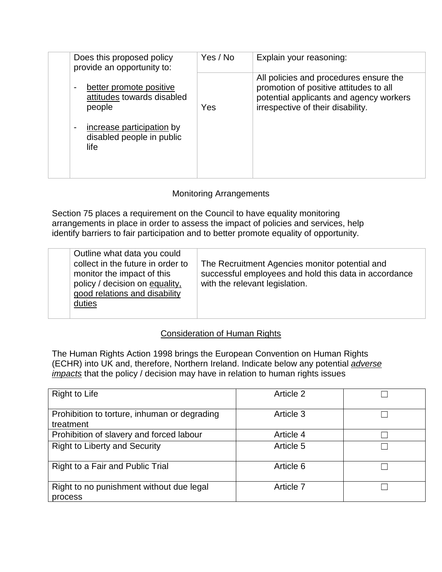| Does this proposed policy<br>provide an opportunity to:              | Yes / No | Explain your reasoning:                                                                                                                                          |
|----------------------------------------------------------------------|----------|------------------------------------------------------------------------------------------------------------------------------------------------------------------|
| better promote positive<br>۰<br>attitudes towards disabled<br>people | Yes      | All policies and procedures ensure the<br>promotion of positive attitudes to all<br>potential applicants and agency workers<br>irrespective of their disability. |
| increase participation by<br>۰<br>disabled people in public<br>life  |          |                                                                                                                                                                  |

### Monitoring Arrangements

Section 75 places a requirement on the Council to have equality monitoring arrangements in place in order to assess the impact of policies and services, help identify barriers to fair participation and to better promote equality of opportunity.

| Outline what data you could<br>collect in the future in order to<br>monitor the impact of this<br>policy / decision on equality,<br>good relations and disability<br>duties | The Recruitment Agencies monitor potential and<br>successful employees and hold this data in accordance<br>with the relevant legislation. |
|-----------------------------------------------------------------------------------------------------------------------------------------------------------------------------|-------------------------------------------------------------------------------------------------------------------------------------------|
|-----------------------------------------------------------------------------------------------------------------------------------------------------------------------------|-------------------------------------------------------------------------------------------------------------------------------------------|

#### Consideration of Human Rights

The Human Rights Action 1998 brings the European Convention on Human Rights (ECHR) into UK and, therefore, Northern Ireland. Indicate below any potential *adverse impacts* that the policy / decision may have in relation to human rights issues

| Right to Life                                             | Article 2 |  |
|-----------------------------------------------------------|-----------|--|
| Prohibition to torture, inhuman or degrading<br>treatment | Article 3 |  |
| Prohibition of slavery and forced labour                  | Article 4 |  |
| <b>Right to Liberty and Security</b>                      | Article 5 |  |
| Right to a Fair and Public Trial                          | Article 6 |  |
| Right to no punishment without due legal<br>process       | Article 7 |  |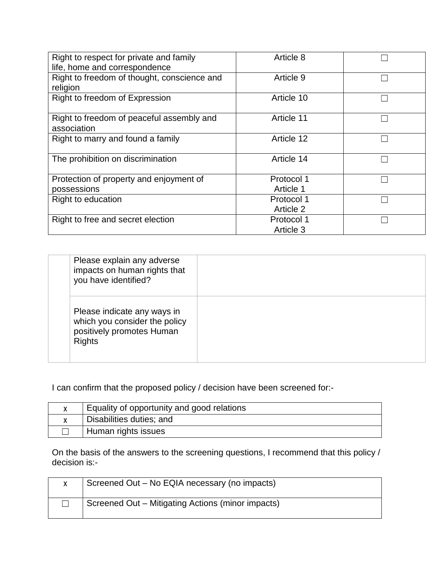| Right to respect for private and family<br>life, home and correspondence | Article 8               |  |
|--------------------------------------------------------------------------|-------------------------|--|
| Right to freedom of thought, conscience and<br>religion                  | Article 9               |  |
| Right to freedom of Expression                                           | Article 10              |  |
| Right to freedom of peaceful assembly and<br>association                 | Article 11              |  |
| Right to marry and found a family                                        | Article 12              |  |
| The prohibition on discrimination                                        | Article 14              |  |
| Protection of property and enjoyment of<br>possessions                   | Protocol 1<br>Article 1 |  |
| Right to education                                                       | Protocol 1<br>Article 2 |  |
| Right to free and secret election                                        | Protocol 1<br>Article 3 |  |

| Please explain any adverse<br>impacts on human rights that<br>you have identified?                         |  |
|------------------------------------------------------------------------------------------------------------|--|
| Please indicate any ways in<br>which you consider the policy<br>positively promotes Human<br><b>Rights</b> |  |

I can confirm that the proposed policy / decision have been screened for:-

| Equality of opportunity and good relations |
|--------------------------------------------|
| Disabilities duties; and                   |
| Human rights issues                        |

On the basis of the answers to the screening questions, I recommend that this policy / decision is:-

| Screened Out – No EQIA necessary (no impacts)     |
|---------------------------------------------------|
| Screened Out – Mitigating Actions (minor impacts) |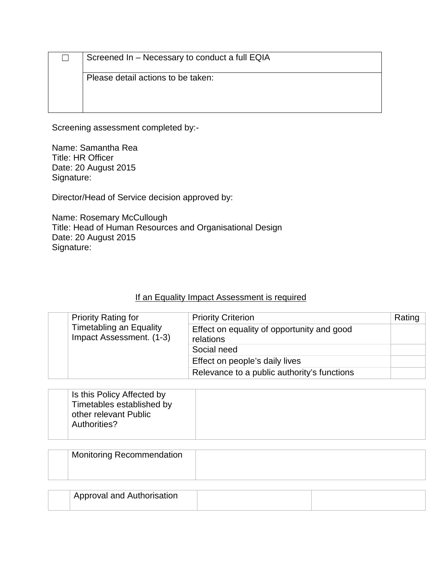|                                    | Screened In - Necessary to conduct a full EQIA |
|------------------------------------|------------------------------------------------|
| Please detail actions to be taken: |                                                |
|                                    |                                                |

Screening assessment completed by:-

Name: Samantha Rea Title: HR Officer Date: 20 August 2015 Signature:

Director/Head of Service decision approved by:

Name: Rosemary McCullough Title: Head of Human Resources and Organisational Design Date: 20 August 2015 Signature:

## If an Equality Impact Assessment is required

| <b>Priority Rating for</b> | <b>Priority Criterion</b>                                  | Rating                                                  |  |
|----------------------------|------------------------------------------------------------|---------------------------------------------------------|--|
|                            | <b>Timetabling an Equality</b><br>Impact Assessment. (1-3) | Effect on equality of opportunity and good<br>relations |  |
|                            | Social need                                                |                                                         |  |
|                            |                                                            | Effect on people's daily lives                          |  |
|                            |                                                            | Relevance to a public authority's functions             |  |

| Is this Policy Affected by<br>Timetables established by<br>other relevant Public<br>Authorities? |  |
|--------------------------------------------------------------------------------------------------|--|
|--------------------------------------------------------------------------------------------------|--|

| <b>Monitoring Recommendation</b> |  |
|----------------------------------|--|
|                                  |  |
|                                  |  |

| Approval and Authorisation |  |
|----------------------------|--|
|                            |  |